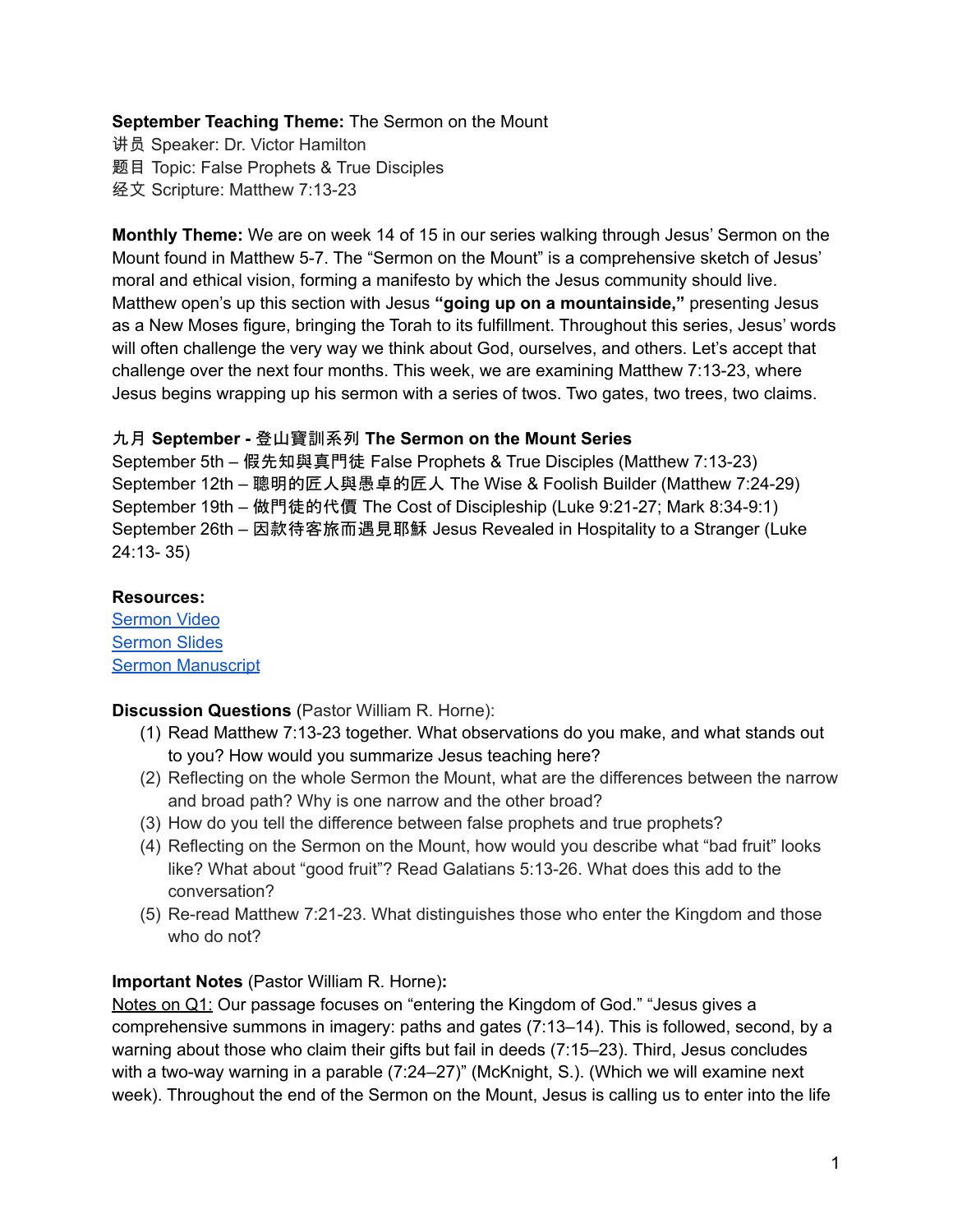## **September Teaching Theme:** The Sermon on the Mount

讲员 Speaker: Dr. Victor Hamilton 题目 Topic: False Prophets & True Disciples 经文 Scripture: Matthew 7:13-23

**Monthly Theme:** We are on week 14 of 15 in our series walking through Jesus' Sermon on the Mount found in Matthew 5-7. The "Sermon on the Mount" is a comprehensive sketch of Jesus' moral and ethical vision, forming a manifesto by which the Jesus community should live. Matthew open's up this section with Jesus **"going up on a mountainside,"** presenting Jesus as a New Moses figure, bringing the Torah to its fulfillment. Throughout this series, Jesus' words will often challenge the very way we think about God, ourselves, and others. Let's accept that challenge over the next four months. This week, we are examining Matthew 7:13-23, where Jesus begins wrapping up his sermon with a series of twos. Two gates, two trees, two claims.

### 九月 **September -** 登山寶訓系列 **The Sermon on the Mount Series**

September 5th – 假先知與真門徒 False Prophets & True Disciples (Matthew 7:13-23) September 12th – 聰明的匠人與愚卓的匠人 The Wise & Foolish Builder (Matthew 7:24-29) September 19th – 做門徒的代價 The Cost of Discipleship (Luke 9:21-27; Mark 8:34-9:1) September 26th – 因款待客旅而遇見耶穌 Jesus Revealed in Hospitality to a Stranger (Luke 24:13- 35)

#### **Resources:**

[Sermon](https://www.youtube.com/watch?v=ZqoqbpdChnU) Video [Sermon](https://docs.google.com/presentation/d/1ATFLvYQY4agpvpL9cv_nWgACklmQbLmD/edit?usp=sharing&ouid=111022305003760555164&rtpof=true&sd=true) Slides Sermon [Manuscript](https://docs.google.com/document/d/1O-Exn6BN2G4-e2iwplQ3dG3r7_0Ib_5E/edit?usp=sharing&ouid=111022305003760555164&rtpof=true&sd=true)

**Discussion Questions** (Pastor William R. Horne):

- (1) Read Matthew 7:13-23 together. What observations do you make, and what stands out to you? How would you summarize Jesus teaching here?
- (2) Reflecting on the whole Sermon the Mount, what are the differences between the narrow and broad path? Why is one narrow and the other broad?
- (3) How do you tell the difference between false prophets and true prophets?
- (4) Reflecting on the Sermon on the Mount, how would you describe what "bad fruit" looks like? What about "good fruit"? Read Galatians 5:13-26. What does this add to the conversation?
- (5) Re-read Matthew 7:21-23. What distinguishes those who enter the Kingdom and those who do not?

# **Important Notes** (Pastor William R. Horne)**:**

Notes on Q1: Our passage focuses on "entering the Kingdom of God." "Jesus gives a comprehensive summons in imagery: paths and gates (7:13–14). This is followed, second, by a warning about those who claim their gifts but fail in deeds (7:15–23). Third, Jesus concludes with a two-way warning in a parable (7:24–27)" (McKnight, S.). (Which we will examine next week). Throughout the end of the Sermon on the Mount, Jesus is calling us to enter into the life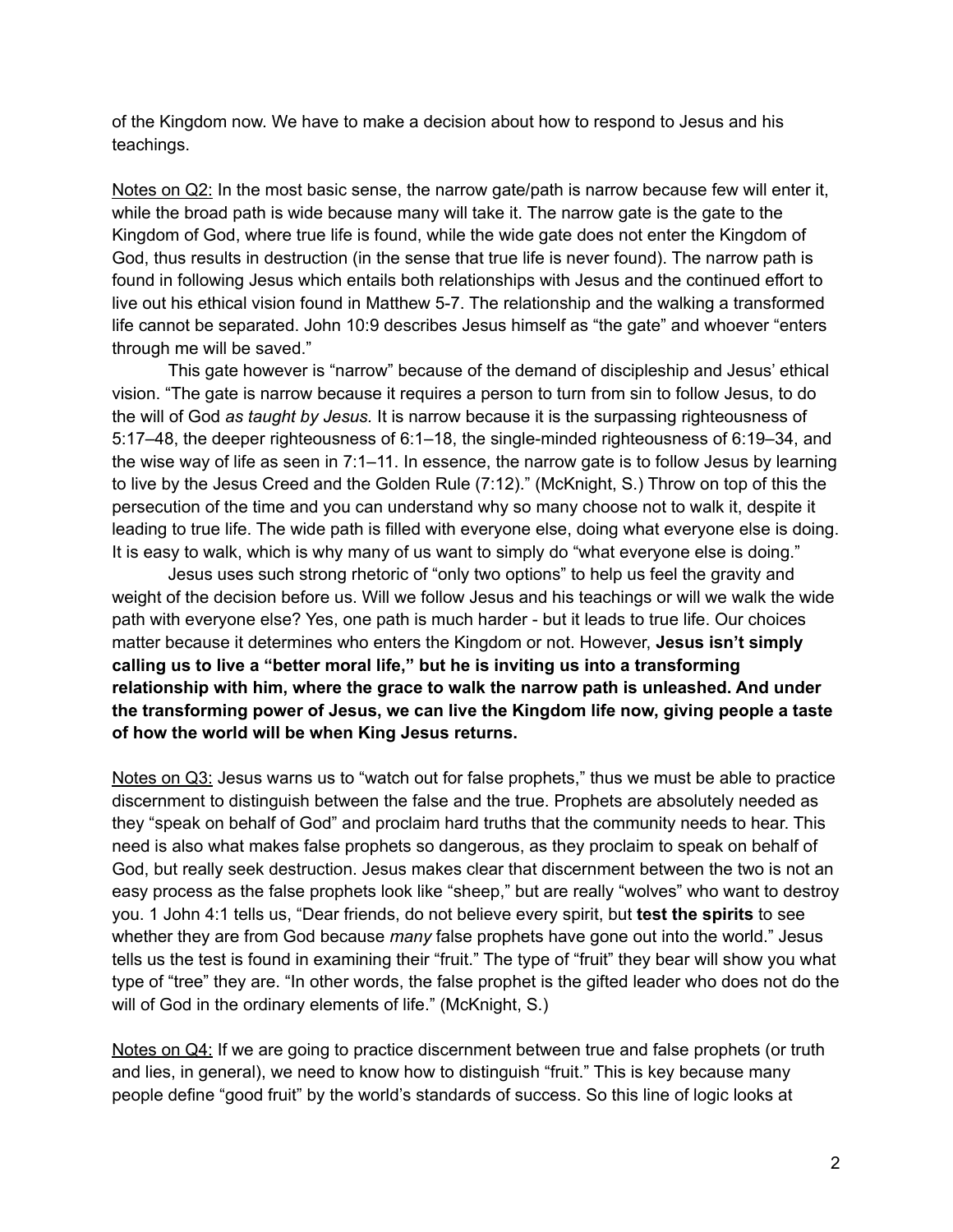of the Kingdom now. We have to make a decision about how to respond to Jesus and his teachings.

Notes on Q2: In the most basic sense, the narrow gate/path is narrow because few will enter it, while the broad path is wide because many will take it. The narrow gate is the gate to the Kingdom of God, where true life is found, while the wide gate does not enter the Kingdom of God, thus results in destruction (in the sense that true life is never found). The narrow path is found in following Jesus which entails both relationships with Jesus and the continued effort to live out his ethical vision found in Matthew 5-7. The relationship and the walking a transformed life cannot be separated. John 10:9 describes Jesus himself as "the gate" and whoever "enters through me will be saved."

This gate however is "narrow" because of the demand of discipleship and Jesus' ethical vision. "The gate is narrow because it requires a person to turn from sin to follow Jesus, to do the will of God *as taught by Jesus.* It is narrow because it is the surpassing righteousness of 5:17–48, the deeper righteousness of 6:1–18, the single-minded righteousness of 6:19–34, and the wise way of life as seen in 7:1–11. In essence, the narrow gate is to follow Jesus by learning to live by the Jesus Creed and the Golden Rule (7:12)." (McKnight, S.) Throw on top of this the persecution of the time and you can understand why so many choose not to walk it, despite it leading to true life. The wide path is filled with everyone else, doing what everyone else is doing. It is easy to walk, which is why many of us want to simply do "what everyone else is doing."

Jesus uses such strong rhetoric of "only two options" to help us feel the gravity and weight of the decision before us. Will we follow Jesus and his teachings or will we walk the wide path with everyone else? Yes, one path is much harder - but it leads to true life. Our choices matter because it determines who enters the Kingdom or not. However, **Jesus isn't simply calling us to live a "better moral life," but he is inviting us into a transforming relationship with him, where the grace to walk the narrow path is unleashed. And under the transforming power of Jesus, we can live the Kingdom life now, giving people a taste of how the world will be when King Jesus returns.**

Notes on Q3: Jesus warns us to "watch out for false prophets," thus we must be able to practice discernment to distinguish between the false and the true. Prophets are absolutely needed as they "speak on behalf of God" and proclaim hard truths that the community needs to hear. This need is also what makes false prophets so dangerous, as they proclaim to speak on behalf of God, but really seek destruction. Jesus makes clear that discernment between the two is not an easy process as the false prophets look like "sheep," but are really "wolves" who want to destroy you. 1 John 4:1 tells us, "Dear friends, do not believe every spirit, but **test the spirits** to see whether they are from God because *many* false prophets have gone out into the world." Jesus tells us the test is found in examining their "fruit." The type of "fruit" they bear will show you what type of "tree" they are. "In other words, the false prophet is the gifted leader who does not do the will of God in the ordinary elements of life." (McKnight, S.)

Notes on Q4: If we are going to practice discernment between true and false prophets (or truth and lies, in general), we need to know how to distinguish "fruit." This is key because many people define "good fruit" by the world's standards of success. So this line of logic looks at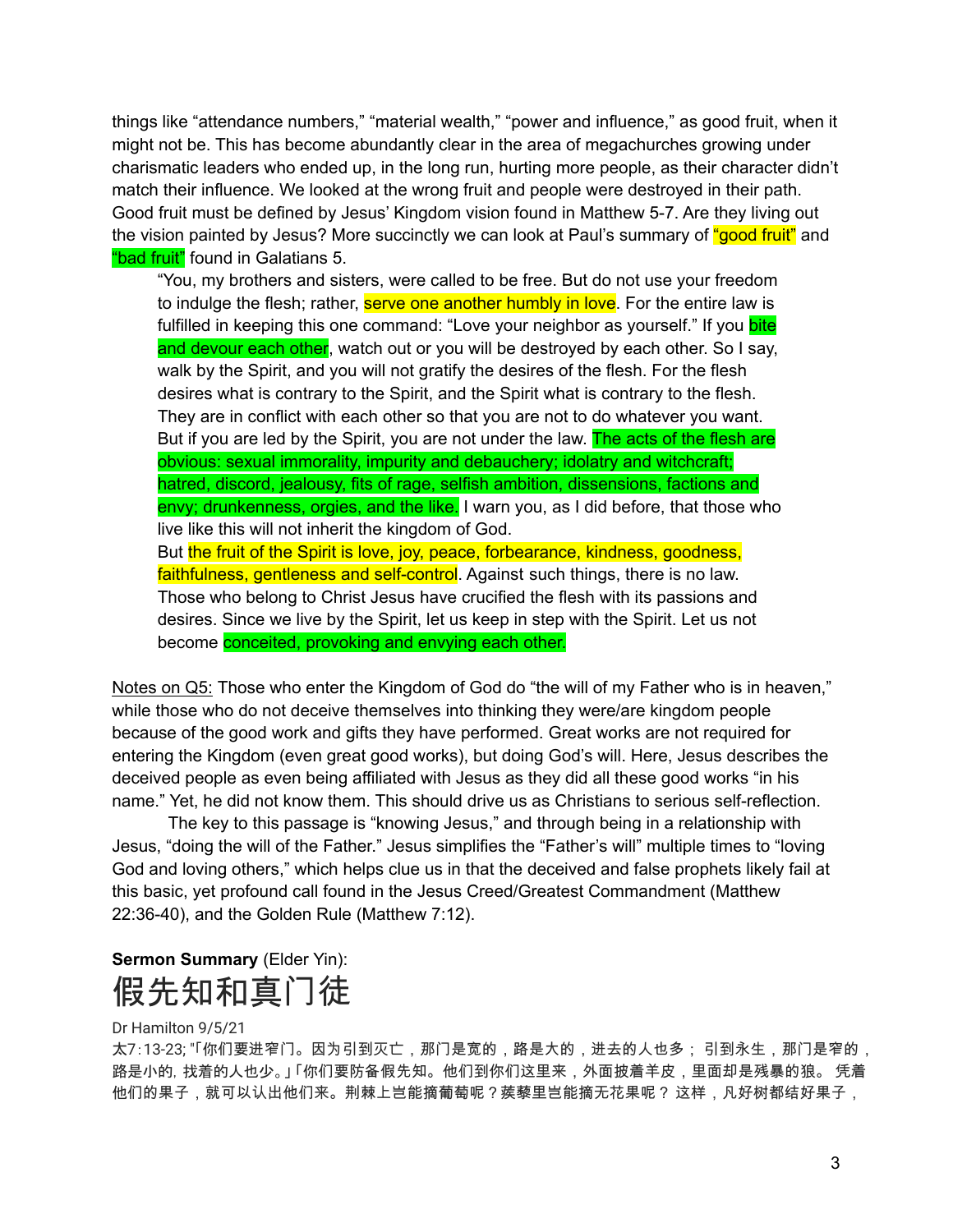things like "attendance numbers," "material wealth," "power and influence," as good fruit, when it might not be. This has become abundantly clear in the area of megachurches growing under charismatic leaders who ended up, in the long run, hurting more people, as their character didn't match their influence. We looked at the wrong fruit and people were destroyed in their path. Good fruit must be defined by Jesus' Kingdom vision found in Matthew 5-7. Are they living out the vision painted by Jesus? More succinctly we can look at Paul's summary of "good fruit" and "bad fruit" found in Galatians 5.

"You, my brothers and sisters, were called to be free. But do not use your freedom to indulge the flesh; rather, serve one another humbly in love. For the entire law is fulfilled in keeping this one command: "Love your neighbor as yourself." If you **bite** and devour each other, watch out or you will be destroyed by each other. So I say, walk by the Spirit, and you will not gratify the desires of the flesh. For the flesh desires what is contrary to the Spirit, and the Spirit what is contrary to the flesh. They are in conflict with each other so that you are not to do whatever you want. But if you are led by the Spirit, you are not under the law. The acts of the flesh are obvious: sexual immorality, impurity and debauchery; idolatry and witchcraft; hatred, discord, jealousy, fits of rage, selfish ambition, dissensions, factions and envy; drunkenness, orgies, and the like. I warn you, as I did before, that those who live like this will not inherit the kingdom of God. But the fruit of the Spirit is love, joy, peace, forbearance, kindness, goodness, faithfulness, gentleness and self-control. Against such things, there is no law. Those who belong to Christ Jesus have crucified the flesh with its passions and desires. Since we live by the Spirit, let us keep in step with the Spirit. Let us not

become conceited, provoking and envying each other.

Notes on Q5: Those who enter the Kingdom of God do "the will of my Father who is in heaven," while those who do not deceive themselves into thinking they were/are kingdom people because of the good work and gifts they have performed. Great works are not required for entering the Kingdom (even great good works), but doing God's will. Here, Jesus describes the deceived people as even being affiliated with Jesus as they did all these good works "in his name." Yet, he did not know them. This should drive us as Christians to serious self-reflection.

The key to this passage is "knowing Jesus," and through being in a relationship with Jesus, "doing the will of the Father." Jesus simplifies the "Father's will" multiple times to "loving God and loving others," which helps clue us in that the deceived and false prophets likely fail at this basic, yet profound call found in the Jesus Creed/Greatest Commandment (Matthew 22:36-40), and the Golden Rule (Matthew 7:12).

**Sermon Summary** (Elder Yin): 假先知和真门徒

#### Dr Hamilton 9/5/21

太7:13-23; "「你们要进窄门。因为引到灭亡,那门是宽的,路是大的,进去的人也多; 引到永生,那门是窄的, 路是小的,找着的人也少。」 「你们要防备假先知。他们到你们这里来,外面披着羊皮,里面却是残暴的狼。 凭着 他们的果子,就可以认出他们来。荆棘上岂能摘葡萄呢?蒺藜里岂能摘无花果呢? 这样,凡好树都结好果子,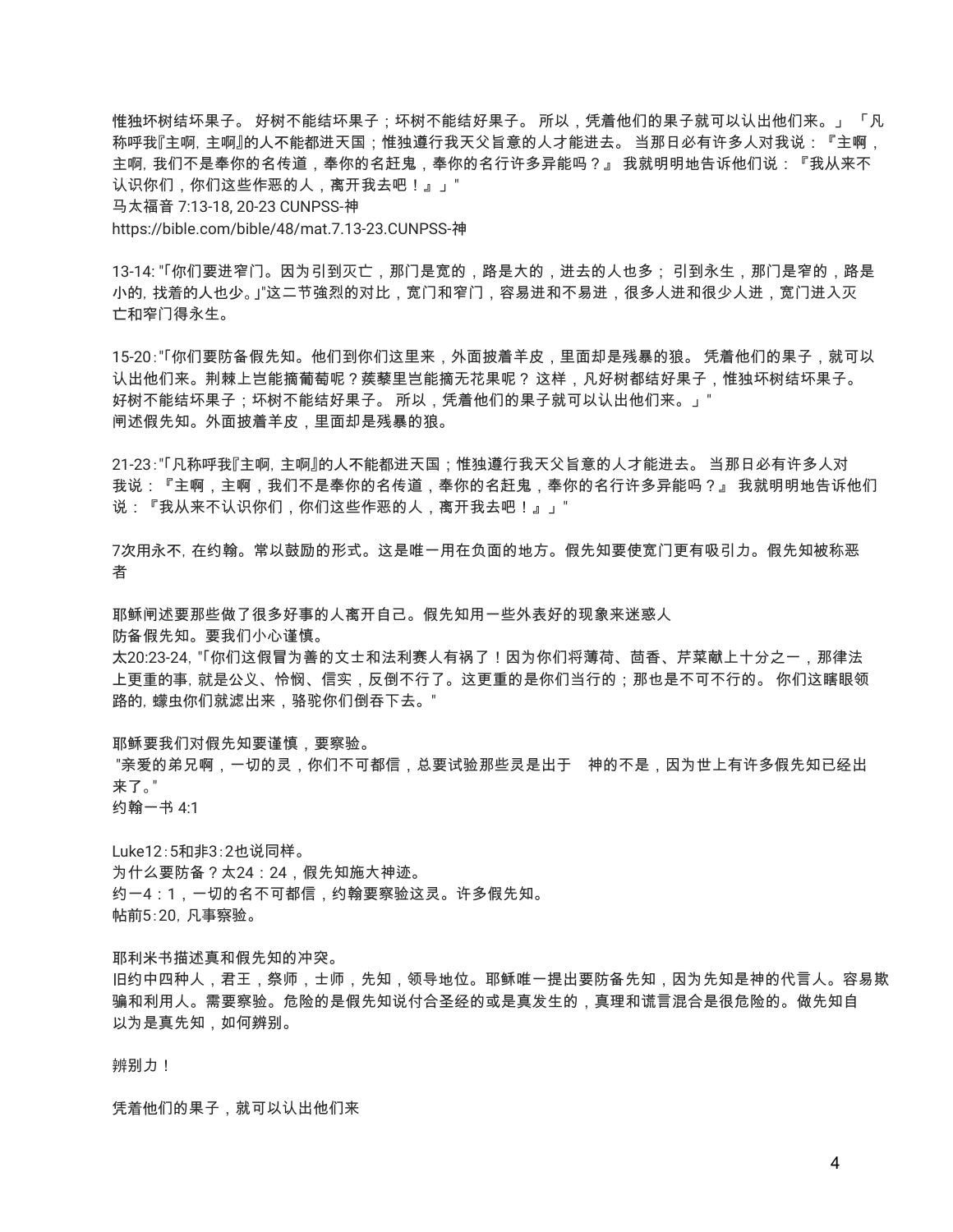惟独坏树结坏果子。 好树不能结坏果子;坏树不能结好果子。 所以,凭着他们的果子就可以认出他们来。」 「凡 称呼我『主啊,主啊』的人不能都进天国;惟独遵行我天父旨意的人才能进去。 当那日必有许多人对我说:『主啊, 主啊,我们不是奉你的名传道,奉你的名赶鬼,奉你的名行许多异能吗?』 我就明明地告诉他们说:『我从来不 认识你们,你们这些作恶的人,离开我去吧!』」" 马太福音 7:13-18, 20-23 CUNPSS-神

https://bible.com/bible/48/mat.7.13-23.CUNPSS-神

13-14: "「你们要进窄门。因为引到灭亡,那门是宽的,路是大的,进去的人也多; 引到永生,那门是窄的,路是 小的,找着的人也少。|"这二节強烈的对比,宽门和窄门,容易进和不易进,很多人进和很少人进,宽门进入灭 亡和窄门得永生。

15-20:"「你们要防备假先知。他们到你们这里来,外面披着羊皮,里面却是残暴的狼。 凭着他们的果子,就可以 认出他们来。荆棘上岂能摘葡萄呢?蒺藜里岂能摘无花果呢? 这样,凡好树都结好果子,惟独坏树结坏果子。 好树不能结坏果子;坏树不能结好果子。 所以,凭着他们的果子就可以认出他们来。」" 闸述假先知。外面披着羊皮,里面却是残暴的狼。

21-23:"「凡称呼我『主啊,主啊』的人不能都进天国;惟独遵行我天父旨意的人才能进去。 当那日必有许多人对 我说:『主啊,主啊,我们不是奉你的名传道,奉你的名赶鬼,奉你的名行许多异能吗?』 我就明明地告诉他们 说:『我从来不认识你们,你们这些作恶的人,离开我去吧!』」"

7次用永不,在约翰。常以鼓励的形式。这是唯一用在负面的地方。假先知要使宽门更有吸引力。假先知被称恶 者

耶稣闸述要那些做了很多好事的人离开自己。假先知用一些外表好的现象来迷惑人

防备假先知。要我们小心谨慎。

太20:23-24,"「你们这假冒为善的文士和法利赛人有祸了!因为你们将薄荷、茴香、芹菜献上十分之一,那律法 上更重的事,就是公义、怜悯、信实,反倒不行了。这更重的是你们当行的;那也是不可不行的。 你们这瞎眼领 路的,蠓虫你们就滤出来,骆驼你们倒吞下去。"

耶稣要我们对假先知要谨慎,要察验。

"亲爱的弟兄啊,一切的灵,你们不可都信,总要试验那些灵是出于 神的不是,因为世上有许多假先知已经出 来了。"

约翰一书 4:1

Luke12:5和非3:2也说同样。 为什么要防备?太24:24,假先知施大神迹。 约一4:1,一切的名不可都信,约翰要察验这灵。许多假先知。 帖前5:20,凡事察验。

耶利米书描述真和假先知的冲突。 旧约中四种人,君王,祭师,士师,先知,领导地位。耶稣唯一提出要防备先知,因为先知是神的代言人。容易欺 骗和利用人。需要察验。危险的是假先知说付合圣经的或是真发生的,真理和谎言混合是很危险的。做先知自 以为是真先知,如何辨别。

辨别力!

凭着他们的果子,就可以认出他们来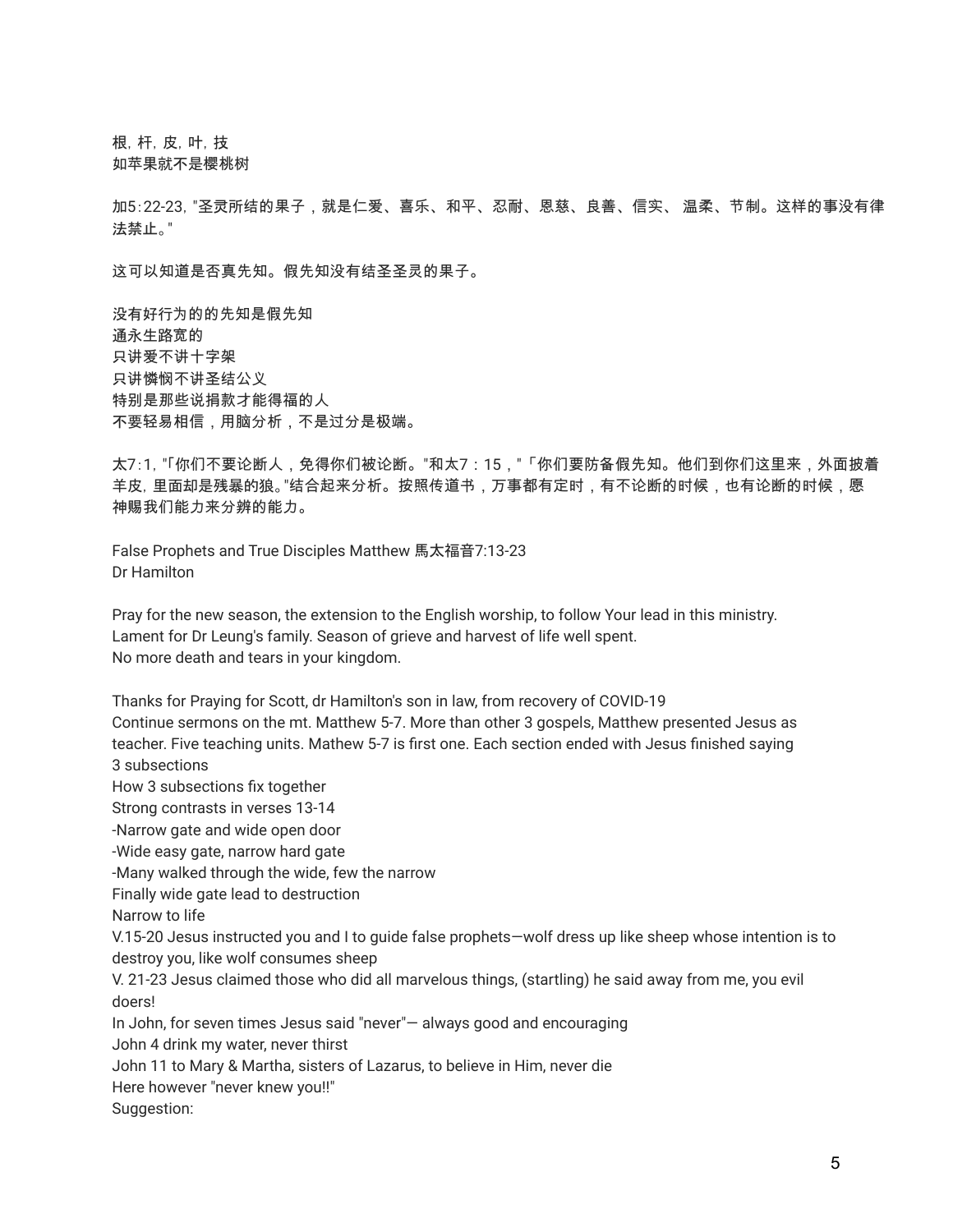根,杆,皮,叶,技 如苹果就不是樱桃树

加5:22-23,"圣灵所结的果子,就是仁爱、喜乐、和平、忍耐、恩慈、良善、信实、 温柔、节制。这样的事没有律 法禁止。"

这可以知道是否真先知。假先知没有结圣圣灵的果子。

没有好行为的的先知是假先知 通永生路宽的 只讲爱不讲十字架 只讲憐悯不讲圣结公义 特别是那些说捐款才能得福的人 不要轻易相信,用脑分析,不是过分是极端。

太7:1,"「你们不要论断人,免得你们被论断。"和太7:15,"「你们要防备假先知。他们到你们这里来,外面披着 羊皮,里面却是残暴的狼。"结合起来分析。按照传道书,万事都有定时,有不论断的时候,也有论断的时候,愿 神赐我们能力来分辨的能力。

False Prophets and True Disciples Matthew 馬太福音7:13-23 Dr Hamilton

Pray for the new season, the extension to the English worship, to follow Your lead in this ministry. Lament for Dr Leung's family. Season of grieve and harvest of life well spent. No more death and tears in your kingdom.

Thanks for Praying for Scott, dr Hamilton's son in law, from recovery of COVID-19 Continue sermons on the mt. Matthew 5-7. More than other 3 gospels, Matthew presented Jesus as teacher. Five teaching units. Mathew 5-7 is first one. Each section ended with Jesus finished saying 3 subsections How 3 subsections fix together Strong contrasts in verses 13-14 -Narrow gate and wide open door -Wide easy gate, narrow hard gate -Many walked through the wide, few the narrow Finally wide gate lead to destruction Narrow to life V.15-20 Jesus instructed you and I to guide false prophets—wolf dress up like sheep whose intention is to destroy you, like wolf consumes sheep V. 21-23 Jesus claimed those who did all marvelous things, (startling) he said away from me, you evil doers! In John, for seven times Jesus said "never"— always good and encouraging John 4 drink my water, never thirst John 11 to Mary & Martha, sisters of Lazarus, to believe in Him, never die Here however "never knew you!!" Suggestion: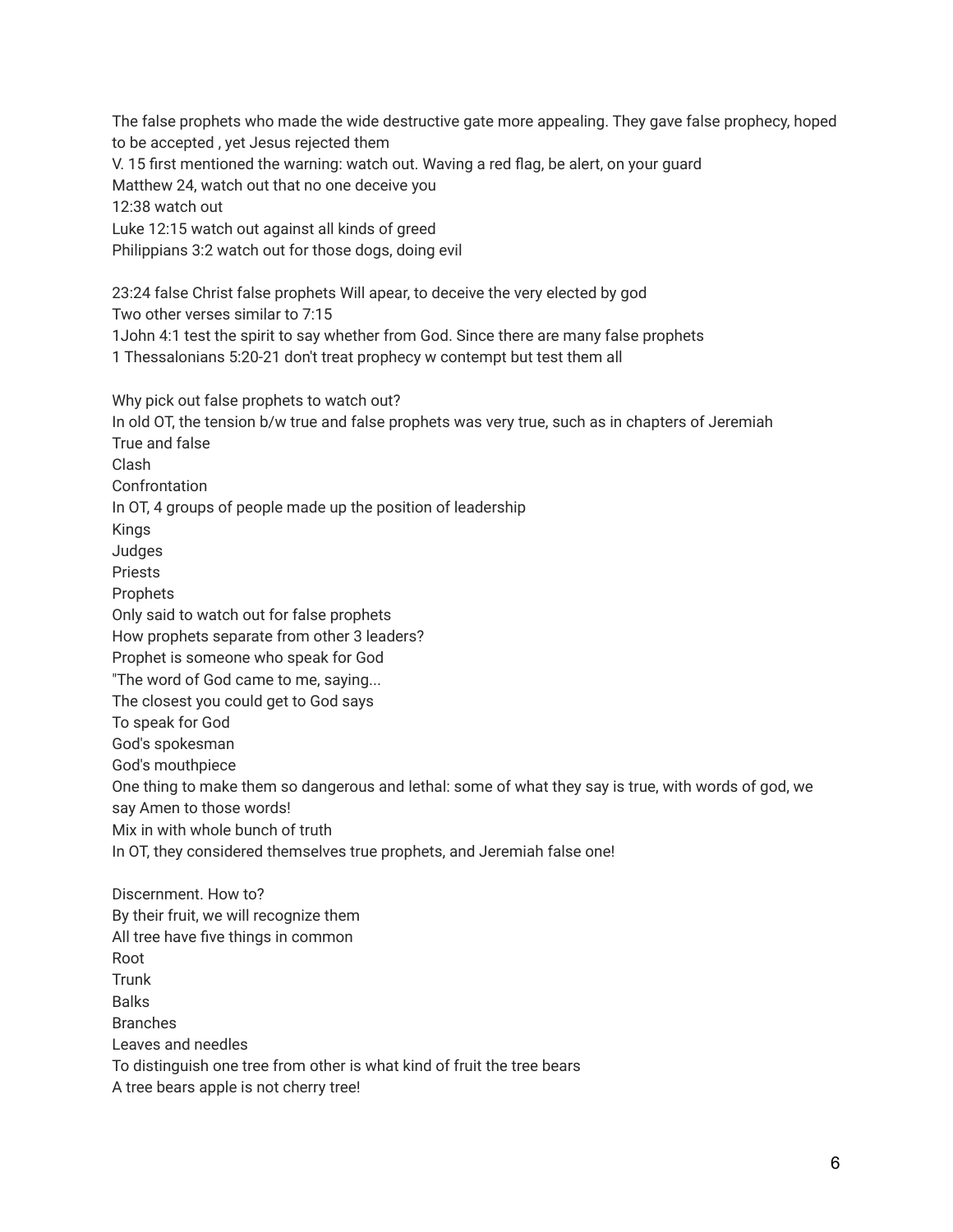The false prophets who made the wide destructive gate more appealing. They gave false prophecy, hoped to be accepted , yet Jesus rejected them V. 15 first mentioned the warning: watch out. Waving a red flag, be alert, on your guard Matthew 24, watch out that no one deceive you 12:38 watch out Luke 12:15 watch out against all kinds of greed Philippians 3:2 watch out for those dogs, doing evil 23:24 false Christ false prophets Will apear, to deceive the very elected by god Two other verses similar to 7:15 1John 4:1 test the spirit to say whether from God. Since there are many false prophets 1 Thessalonians 5:20-21 don't treat prophecy w contempt but test them all Why pick out false prophets to watch out? In old OT, the tension b/w true and false prophets was very true, such as in chapters of Jeremiah True and false Clash Confrontation In OT, 4 groups of people made up the position of leadership Kings Judges Priests Prophets Only said to watch out for false prophets How prophets separate from other 3 leaders? Prophet is someone who speak for God "The word of God came to me, saying... The closest you could get to God says To speak for God God's spokesman God's mouthpiece One thing to make them so dangerous and lethal: some of what they say is true, with words of god, we say Amen to those words! Mix in with whole bunch of truth In OT, they considered themselves true prophets, and Jeremiah false one! Discernment. How to? By their fruit, we will recognize them All tree have five things in common Root Trunk Balks Branches Leaves and needles To distinguish one tree from other is what kind of fruit the tree bears

A tree bears apple is not cherry tree!